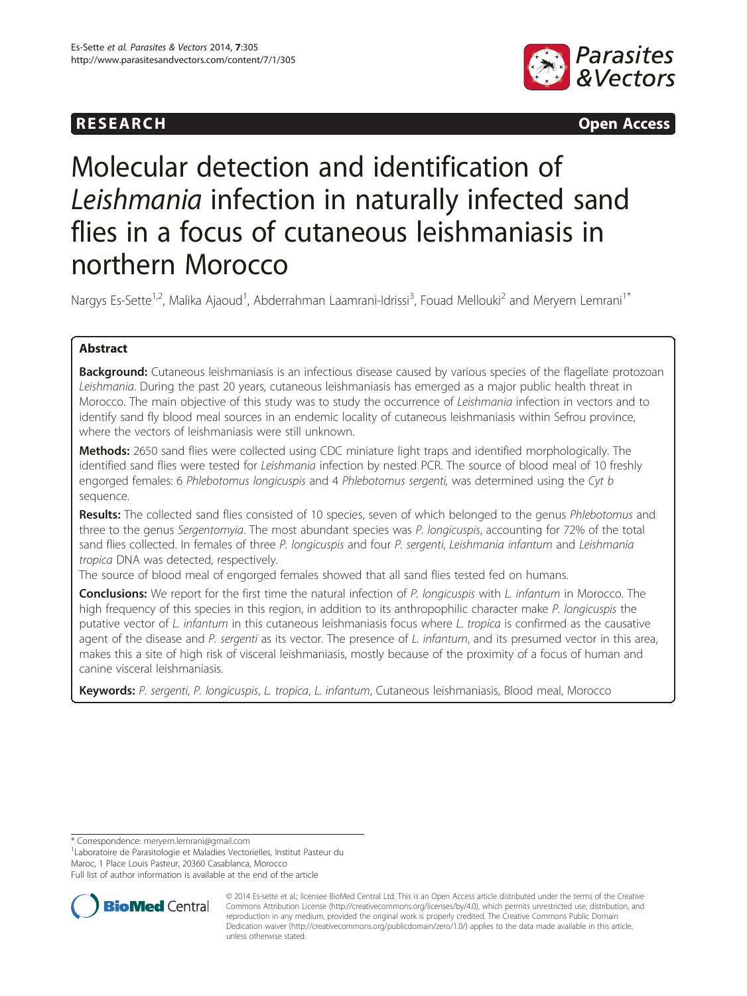



# Molecular detection and identification of Leishmania infection in naturally infected sand flies in a focus of cutaneous leishmaniasis in northern Morocco

Nargys Es-Sette<sup>1,2</sup>, Malika Ajaoud<sup>1</sup>, Abderrahman Laamrani-Idrissi<sup>3</sup>, Fouad Mellouki<sup>2</sup> and Meryem Lemrani<sup>1\*</sup>

# Abstract

**Background:** Cutaneous leishmaniasis is an infectious disease caused by various species of the flagellate protozoan Leishmania. During the past 20 years, cutaneous leishmaniasis has emerged as a major public health threat in Morocco. The main objective of this study was to study the occurrence of Leishmania infection in vectors and to identify sand fly blood meal sources in an endemic locality of cutaneous leishmaniasis within Sefrou province, where the vectors of leishmaniasis were still unknown.

Methods: 2650 sand flies were collected using CDC miniature light traps and identified morphologically. The identified sand flies were tested for Leishmania infection by nested PCR. The source of blood meal of 10 freshly engorged females: 6 Phlebotomus longicuspis and 4 Phlebotomus sergenti, was determined using the Cyt b sequence.

Results: The collected sand flies consisted of 10 species, seven of which belonged to the genus Phlebotomus and three to the genus Sergentomyia. The most abundant species was P. longicuspis, accounting for 72% of the total sand flies collected. In females of three P. longicuspis and four P. sergenti, Leishmania infantum and Leishmania tropica DNA was detected, respectively.

The source of blood meal of engorged females showed that all sand flies tested fed on humans.

Conclusions: We report for the first time the natural infection of P. longicuspis with L. infantum in Morocco. The high frequency of this species in this region, in addition to its anthropophilic character make P. longicuspis the putative vector of L. infantum in this cutaneous leishmaniasis focus where L. tropica is confirmed as the causative agent of the disease and P. sergenti as its vector. The presence of L. infantum, and its presumed vector in this area, makes this a site of high risk of visceral leishmaniasis, mostly because of the proximity of a focus of human and canine visceral leishmaniasis.

Keywords: P. sergenti, P. longicuspis, L. tropica, L. infantum, Cutaneous leishmaniasis, Blood meal, Morocco

\* Correspondence: [meryem.lemrani@gmail.com](mailto:meryem.lemrani@gmail.com) <sup>1</sup>

<sup>1</sup> Laboratoire de Parasitologie et Maladies Vectorielles, Institut Pasteur du

Maroc, 1 Place Louis Pasteur, 20360 Casablanca, Morocco

Full list of author information is available at the end of the article



© 2014 Es-sette et al.; licensee BioMed Central Ltd. This is an Open Access article distributed under the terms of the Creative Commons Attribution License [\(http://creativecommons.org/licenses/by/4.0\)](http://creativecommons.org/licenses/by/4.0), which permits unrestricted use, distribution, and reproduction in any medium, provided the original work is properly credited. The Creative Commons Public Domain Dedication waiver [\(http://creativecommons.org/publicdomain/zero/1.0/](http://creativecommons.org/publicdomain/zero/1.0/)) applies to the data made available in this article, unless otherwise stated.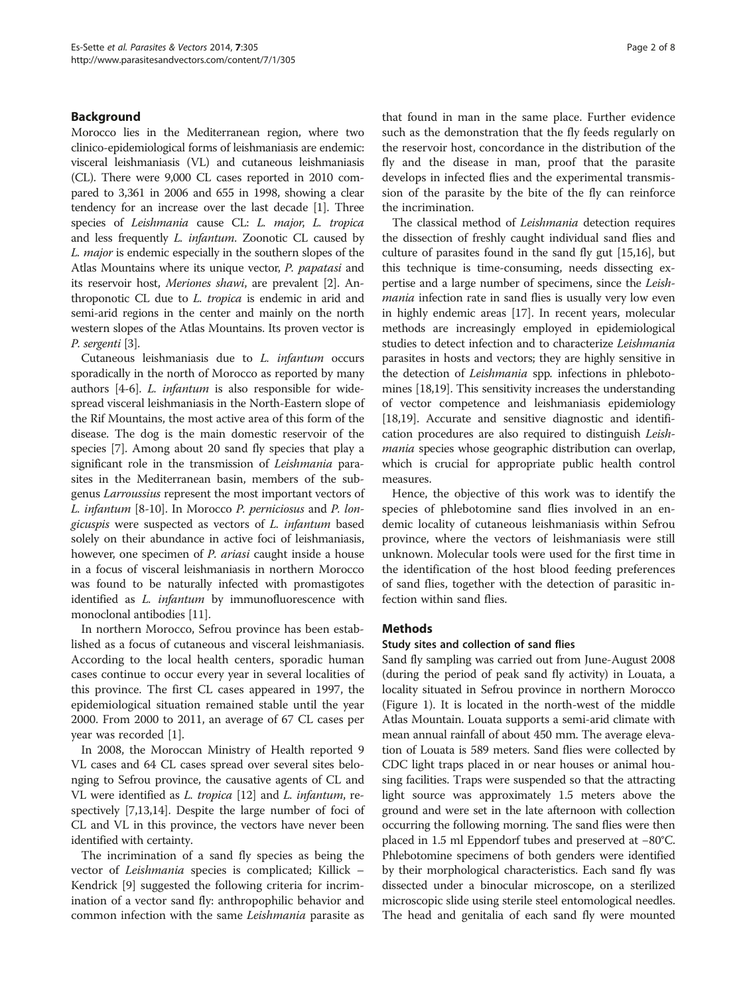### Background

Morocco lies in the Mediterranean region, where two clinico-epidemiological forms of leishmaniasis are endemic: visceral leishmaniasis (VL) and cutaneous leishmaniasis (CL). There were 9,000 CL cases reported in 2010 compared to 3,361 in 2006 and 655 in 1998, showing a clear tendency for an increase over the last decade [[1\]](#page-6-0). Three species of Leishmania cause CL: L. major, L. tropica and less frequently L. infantum. Zoonotic CL caused by L. major is endemic especially in the southern slopes of the Atlas Mountains where its unique vector, P. papatasi and its reservoir host, Meriones shawi, are prevalent [\[2\]](#page-6-0). Anthroponotic CL due to L. tropica is endemic in arid and semi-arid regions in the center and mainly on the north western slopes of the Atlas Mountains. Its proven vector is P. sergenti [[3\]](#page-6-0).

Cutaneous leishmaniasis due to L. infantum occurs sporadically in the north of Morocco as reported by many authors [[4-6\]](#page-6-0). L. infantum is also responsible for widespread visceral leishmaniasis in the North-Eastern slope of the Rif Mountains, the most active area of this form of the disease. The dog is the main domestic reservoir of the species [[7](#page-6-0)]. Among about 20 sand fly species that play a significant role in the transmission of Leishmania parasites in the Mediterranean basin, members of the subgenus Larroussius represent the most important vectors of L. infantum [[8](#page-6-0)[-10\]](#page-7-0). In Morocco P. perniciosus and P. longicuspis were suspected as vectors of L. infantum based solely on their abundance in active foci of leishmaniasis, however, one specimen of *P. ariasi* caught inside a house in a focus of visceral leishmaniasis in northern Morocco was found to be naturally infected with promastigotes identified as *L. infantum* by immunofluorescence with monoclonal antibodies [\[11\]](#page-7-0).

In northern Morocco, Sefrou province has been established as a focus of cutaneous and visceral leishmaniasis. According to the local health centers, sporadic human cases continue to occur every year in several localities of this province. The first CL cases appeared in 1997, the epidemiological situation remained stable until the year 2000. From 2000 to 2011, an average of 67 CL cases per year was recorded [[1\]](#page-6-0).

In 2008, the Moroccan Ministry of Health reported 9 VL cases and 64 CL cases spread over several sites belonging to Sefrou province, the causative agents of CL and VL were identified as L. tropica [[12](#page-7-0)] and L. infantum, respectively [[7,](#page-6-0)[13,14\]](#page-7-0). Despite the large number of foci of CL and VL in this province, the vectors have never been identified with certainty.

The incrimination of a sand fly species as being the vector of Leishmania species is complicated; Killick – Kendrick [\[9](#page-7-0)] suggested the following criteria for incrimination of a vector sand fly: anthropophilic behavior and common infection with the same Leishmania parasite as that found in man in the same place. Further evidence such as the demonstration that the fly feeds regularly on the reservoir host, concordance in the distribution of the fly and the disease in man, proof that the parasite develops in infected flies and the experimental transmission of the parasite by the bite of the fly can reinforce the incrimination.

The classical method of Leishmania detection requires the dissection of freshly caught individual sand flies and culture of parasites found in the sand fly gut [\[15,16](#page-7-0)], but this technique is time-consuming, needs dissecting expertise and a large number of specimens, since the Leishmania infection rate in sand flies is usually very low even in highly endemic areas [\[17\]](#page-7-0). In recent years, molecular methods are increasingly employed in epidemiological studies to detect infection and to characterize Leishmania parasites in hosts and vectors; they are highly sensitive in the detection of Leishmania spp. infections in phlebotomines [[18,19\]](#page-7-0). This sensitivity increases the understanding of vector competence and leishmaniasis epidemiology [[18](#page-7-0),[19](#page-7-0)]. Accurate and sensitive diagnostic and identification procedures are also required to distinguish Leishmania species whose geographic distribution can overlap, which is crucial for appropriate public health control measures.

Hence, the objective of this work was to identify the species of phlebotomine sand flies involved in an endemic locality of cutaneous leishmaniasis within Sefrou province, where the vectors of leishmaniasis were still unknown. Molecular tools were used for the first time in the identification of the host blood feeding preferences of sand flies, together with the detection of parasitic infection within sand flies.

## **Methods**

# Study sites and collection of sand flies

Sand fly sampling was carried out from June-August 2008 (during the period of peak sand fly activity) in Louata, a locality situated in Sefrou province in northern Morocco (Figure [1](#page-2-0)). It is located in the north-west of the middle Atlas Mountain. Louata supports a semi-arid climate with mean annual rainfall of about 450 mm. The average elevation of Louata is 589 meters. Sand flies were collected by CDC light traps placed in or near houses or animal housing facilities. Traps were suspended so that the attracting light source was approximately 1.5 meters above the ground and were set in the late afternoon with collection occurring the following morning. The sand flies were then placed in 1.5 ml Eppendorf tubes and preserved at −80°C. Phlebotomine specimens of both genders were identified by their morphological characteristics. Each sand fly was dissected under a binocular microscope, on a sterilized microscopic slide using sterile steel entomological needles. The head and genitalia of each sand fly were mounted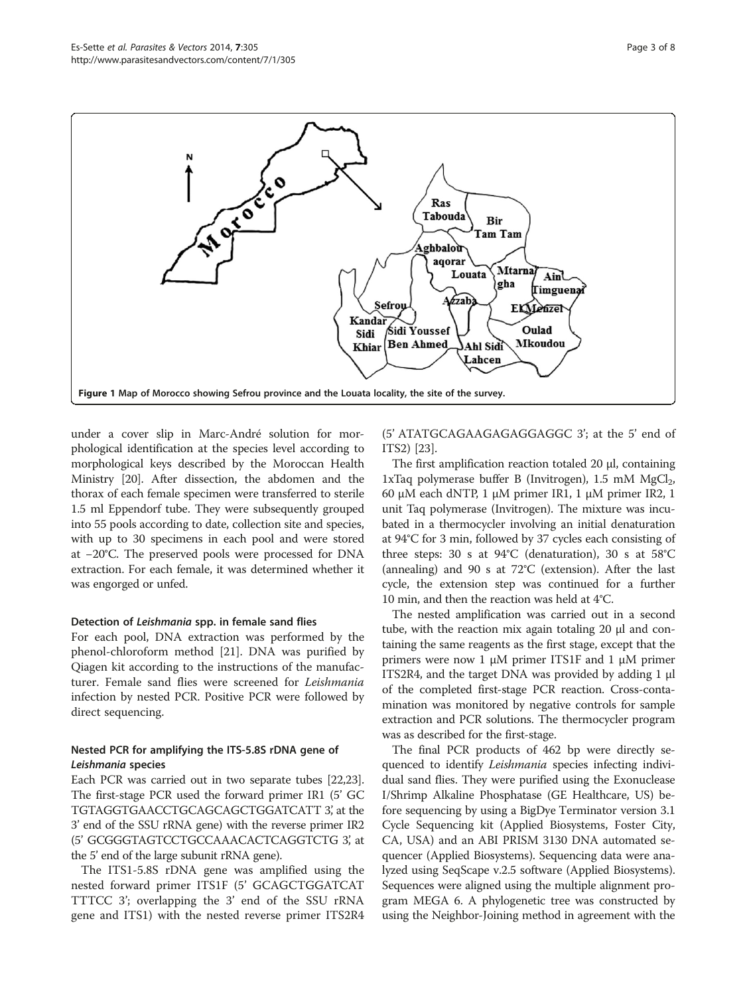<span id="page-2-0"></span>

under a cover slip in Marc-André solution for morphological identification at the species level according to morphological keys described by the Moroccan Health Ministry [[20](#page-7-0)]. After dissection, the abdomen and the thorax of each female specimen were transferred to sterile 1.5 ml Eppendorf tube. They were subsequently grouped into 55 pools according to date, collection site and species, with up to 30 specimens in each pool and were stored at −20°C. The preserved pools were processed for DNA extraction. For each female, it was determined whether it was engorged or unfed.

# Detection of Leishmania spp. in female sand flies

For each pool, DNA extraction was performed by the phenol-chloroform method [\[21](#page-7-0)]. DNA was purified by Qiagen kit according to the instructions of the manufacturer. Female sand flies were screened for Leishmania infection by nested PCR. Positive PCR were followed by direct sequencing.

# Nested PCR for amplifying the ITS-5.8S rDNA gene of Leishmania species

Each PCR was carried out in two separate tubes [\[22,23](#page-7-0)]. The first-stage PCR used the forward primer IR1 (5' GC TGTAGGTGAACCTGCAGCAGCTGGATCATT 3, at the ' 3' end of the SSU rRNA gene) with the reverse primer IR2 (5' GCGGGTAGTCCTGCCAAACACTCAGGTCTG 3, at ' the 5' end of the large subunit rRNA gene).

The ITS1-5.8S rDNA gene was amplified using the nested forward primer ITS1F (5' GCAGCTGGATCAT TTTCC 3'; overlapping the 3' end of the SSU rRNA gene and ITS1) with the nested reverse primer ITS2R4

(5' ATATGCAGAAGAGAGGAGGC 3'; at the 5' end of ITS2) [[23\]](#page-7-0).

The first amplification reaction totaled 20 μl, containing 1xTaq polymerase buffer B (Invitrogen),  $1.5 \text{ mM } MgCl<sub>2</sub>$ , 60 μM each dNTP, 1 μM primer IR1, 1 μM primer IR2, 1 unit Taq polymerase (Invitrogen). The mixture was incubated in a thermocycler involving an initial denaturation at 94°C for 3 min, followed by 37 cycles each consisting of three steps: 30 s at 94°C (denaturation), 30 s at 58°C (annealing) and 90 s at 72°C (extension). After the last cycle, the extension step was continued for a further 10 min, and then the reaction was held at 4°C.

The nested amplification was carried out in a second tube, with the reaction mix again totaling 20 μl and containing the same reagents as the first stage, except that the primers were now 1 μM primer ITS1F and 1 μM primer ITS2R4, and the target DNA was provided by adding 1 μl of the completed first-stage PCR reaction. Cross-contamination was monitored by negative controls for sample extraction and PCR solutions. The thermocycler program was as described for the first-stage.

The final PCR products of 462 bp were directly sequenced to identify *Leishmania* species infecting individual sand flies. They were purified using the Exonuclease I/Shrimp Alkaline Phosphatase (GE Healthcare, US) before sequencing by using a BigDye Terminator version 3.1 Cycle Sequencing kit (Applied Biosystems, Foster City, CA, USA) and an ABI PRISM 3130 DNA automated sequencer (Applied Biosystems). Sequencing data were analyzed using SeqScape v.2.5 software (Applied Biosystems). Sequences were aligned using the multiple alignment program MEGA 6. A phylogenetic tree was constructed by using the Neighbor-Joining method in agreement with the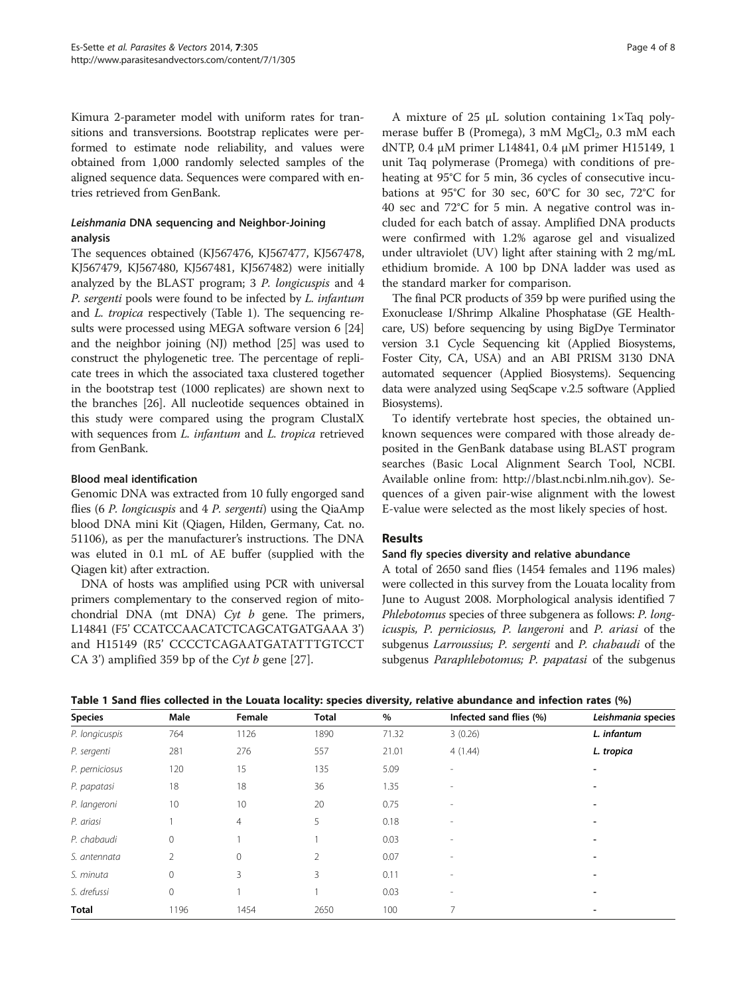<span id="page-3-0"></span>Kimura 2-parameter model with uniform rates for transitions and transversions. Bootstrap replicates were performed to estimate node reliability, and values were obtained from 1,000 randomly selected samples of the aligned sequence data. Sequences were compared with entries retrieved from GenBank.

# Leishmania DNA sequencing and Neighbor-Joining analysis

The sequences obtained (KJ567476, KJ567477, KJ567478, KJ567479, KJ567480, KJ567481, KJ567482) were initially analyzed by the BLAST program; 3 P. longicuspis and 4 P. sergenti pools were found to be infected by L. infantum and L. tropica respectively (Table 1). The sequencing results were processed using MEGA software version 6 [[24](#page-7-0)] and the neighbor joining (NJ) method [[25](#page-7-0)] was used to construct the phylogenetic tree. The percentage of replicate trees in which the associated taxa clustered together in the bootstrap test (1000 replicates) are shown next to the branches [\[26\]](#page-7-0). All nucleotide sequences obtained in this study were compared using the program ClustalX with sequences from *L. infantum* and *L. tropica* retrieved from GenBank.

# Blood meal identification

Genomic DNA was extracted from 10 fully engorged sand flies (6 P. longicuspis and 4 P. sergenti) using the QiaAmp blood DNA mini Kit (Qiagen, Hilden, Germany, Cat. no. 51106), as per the manufacturer's instructions. The DNA was eluted in 0.1 mL of AE buffer (supplied with the Qiagen kit) after extraction.

DNA of hosts was amplified using PCR with universal primers complementary to the conserved region of mitochondrial DNA (mt DNA) Cyt b gene. The primers, L14841 (F5' CCATCCAACATCTCAGCATGATGAAA 3') and H15149 (R5' CCCCTCAGAATGATATTTGTCCT CA 3') amplified 359 bp of the Cyt b gene  $[27]$  $[27]$ .

A mixture of 25 μL solution containing 1×Taq polymerase buffer B (Promega), 3 mM  $MgCl<sub>2</sub>$ , 0.3 mM each dNTP, 0.4 μM primer L14841, 0.4 μM primer H15149, 1 unit Taq polymerase (Promega) with conditions of preheating at 95°C for 5 min, 36 cycles of consecutive incubations at 95°C for 30 sec, 60°C for 30 sec, 72°C for 40 sec and 72°C for 5 min. A negative control was included for each batch of assay. Amplified DNA products were confirmed with 1.2% agarose gel and visualized under ultraviolet (UV) light after staining with 2 mg/mL ethidium bromide. A 100 bp DNA ladder was used as the standard marker for comparison.

The final PCR products of 359 bp were purified using the Exonuclease I/Shrimp Alkaline Phosphatase (GE Healthcare, US) before sequencing by using BigDye Terminator version 3.1 Cycle Sequencing kit (Applied Biosystems, Foster City, CA, USA) and an ABI PRISM 3130 DNA automated sequencer (Applied Biosystems). Sequencing data were analyzed using SeqScape v.2.5 software (Applied Biosystems).

To identify vertebrate host species, the obtained unknown sequences were compared with those already deposited in the GenBank database using BLAST program searches (Basic Local Alignment Search Tool, NCBI. Available online from:<http://blast.ncbi.nlm.nih.gov>). Sequences of a given pair-wise alignment with the lowest E-value were selected as the most likely species of host.

# Results

## Sand fly species diversity and relative abundance

A total of 2650 sand flies (1454 females and 1196 males) were collected in this survey from the Louata locality from June to August 2008. Morphological analysis identified 7 Phlebotomus species of three subgenera as follows: P. longicuspis, P. perniciosus, P. langeroni and P. ariasi of the subgenus Larroussius; P. sergenti and P. chabaudi of the subgenus Paraphlebotomus; P. papatasi of the subgenus

|  |  |  |  |  |  |  |  | Table 1 Sand flies collected in the Louata locality: species diversity, relative abundance and infection rates (%) |  |
|--|--|--|--|--|--|--|--|--------------------------------------------------------------------------------------------------------------------|--|
|--|--|--|--|--|--|--|--|--------------------------------------------------------------------------------------------------------------------|--|

| <b>Species</b> | Male           | Female         | <b>Total</b>   | %     | Infected sand flies (%)  | Leishmania species |
|----------------|----------------|----------------|----------------|-------|--------------------------|--------------------|
| P. longicuspis | 764            | 1126           | 1890           | 71.32 | 3(0.26)                  | L. infantum        |
| P. sergenti    | 281            | 276            | 557            | 21.01 | 4(1.44)                  | L. tropica         |
| P. perniciosus | 120            | 15             | 135            | 5.09  | $\overline{\phantom{a}}$ |                    |
| P. papatasi    | 18             | 18             | 36             | 1.35  | $\overline{\phantom{a}}$ |                    |
| P. langeroni   | 10             | 10             | 20             | 0.75  | $\sim$                   |                    |
| P. ariasi      |                | $\overline{4}$ | 5              | 0.18  | $\sim$                   |                    |
| P. chabaudi    | $\mathbf 0$    |                |                | 0.03  |                          |                    |
| S. antennata   | $\overline{2}$ | $\circ$        | $\overline{2}$ | 0.07  | $\overline{\phantom{a}}$ |                    |
| S. minuta      | $\mathbf 0$    | 3              | 3              | 0.11  | $\overline{\phantom{a}}$ |                    |
| S. drefussi    | $\mathbf 0$    |                |                | 0.03  | $\overline{\phantom{a}}$ |                    |
| <b>Total</b>   | 1196           | 1454           | 2650           | 100   | 7                        |                    |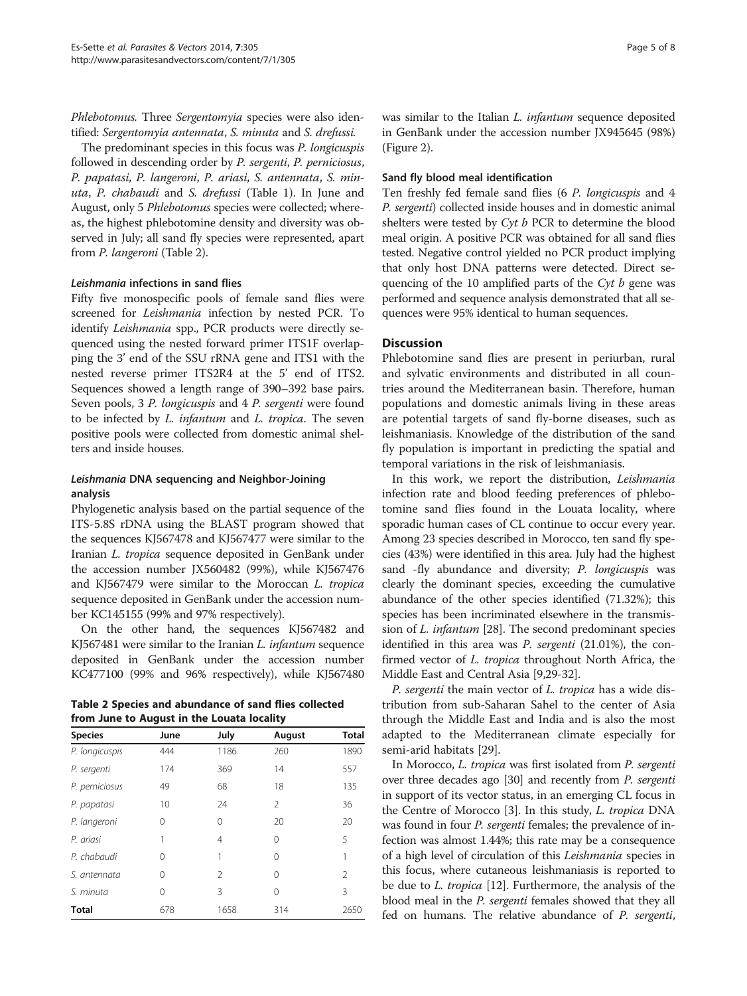Phlebotomus. Three Sergentomyia species were also identified: Sergentomyia antennata, S. minuta and S. drefussi.

The predominant species in this focus was P. longicuspis followed in descending order by P. sergenti, P. perniciosus, P. papatasi, P. langeroni, P. ariasi, S. antennata, S. minuta, P. chabaudi and S. drefussi (Table [1\)](#page-3-0). In June and August, only 5 Phlebotomus species were collected; whereas, the highest phlebotomine density and diversity was observed in July; all sand fly species were represented, apart from P. langeroni (Table 2).

#### Leishmania infections in sand flies

Fifty five monospecific pools of female sand flies were screened for Leishmania infection by nested PCR. To identify Leishmania spp., PCR products were directly sequenced using the nested forward primer ITS1F overlapping the 3' end of the SSU rRNA gene and ITS1 with the nested reverse primer ITS2R4 at the 5' end of ITS2. Sequences showed a length range of 390–392 base pairs. Seven pools, 3 P. longicuspis and 4 P. sergenti were found to be infected by L. infantum and L. tropica. The seven positive pools were collected from domestic animal shelters and inside houses.

## Leishmania DNA sequencing and Neighbor-Joining analysis

Phylogenetic analysis based on the partial sequence of the ITS-5.8S rDNA using the BLAST program showed that the sequences KJ567478 and KJ567477 were similar to the Iranian L. tropica sequence deposited in GenBank under the accession number JX560482 (99%), while KJ567476 and KJ567479 were similar to the Moroccan L. tropica sequence deposited in GenBank under the accession number KC145155 (99% and 97% respectively).

On the other hand, the sequences KJ567482 and KJ567481 were similar to the Iranian L. infantum sequence deposited in GenBank under the accession number KC477100 (99% and 96% respectively), while KJ567480

Table 2 Species and abundance of sand flies collected from June to August in the Louata locality

| <b>Species</b> | June     | July           | August         | <b>Total</b>   |
|----------------|----------|----------------|----------------|----------------|
| P. longicuspis | 444      | 1186           | 260            | 1890           |
| P. sergenti    | 174      | 369            | 14             | 557            |
| P. perniciosus | 49       | 68             | 18             | 135            |
| P. papatasi    | 10       | 24             | $\mathfrak{D}$ | 36             |
| P. langeroni   | 0        | 0              | 20             | 20             |
| P. ariasi      |          | 4              | $\Omega$       | 5              |
| P. chabaudi    | $\cap$   | 1              | $\Omega$       |                |
| S. antennata   | $\Omega$ | $\mathfrak{D}$ | $\Omega$       | $\mathfrak{D}$ |
| S. minuta      | 0        | 3              | $\Omega$       | 3              |
| Total          | 678      | 1658           | 314            | 2650           |

was similar to the Italian *L. infantum* sequence deposited in GenBank under the accession number JX945645 (98%) (Figure [2](#page-5-0)).

#### Sand fly blood meal identification

Ten freshly fed female sand flies (6 P. longicuspis and 4 P. sergenti) collected inside houses and in domestic animal shelters were tested by Cyt b PCR to determine the blood meal origin. A positive PCR was obtained for all sand flies tested. Negative control yielded no PCR product implying that only host DNA patterns were detected. Direct sequencing of the 10 amplified parts of the  $Cyt b$  gene was performed and sequence analysis demonstrated that all sequences were 95% identical to human sequences.

#### **Discussion**

Phlebotomine sand flies are present in periurban, rural and sylvatic environments and distributed in all countries around the Mediterranean basin. Therefore, human populations and domestic animals living in these areas are potential targets of sand fly-borne diseases, such as leishmaniasis. Knowledge of the distribution of the sand fly population is important in predicting the spatial and temporal variations in the risk of leishmaniasis.

In this work, we report the distribution, Leishmania infection rate and blood feeding preferences of phlebotomine sand flies found in the Louata locality, where sporadic human cases of CL continue to occur every year. Among 23 species described in Morocco, ten sand fly species (43%) were identified in this area. July had the highest sand -fly abundance and diversity; P. longicuspis was clearly the dominant species, exceeding the cumulative abundance of the other species identified (71.32%); this species has been incriminated elsewhere in the transmission of *L. infantum* [\[28\]](#page-7-0). The second predominant species identified in this area was P. sergenti (21.01%), the confirmed vector of *L. tropica* throughout North Africa, the Middle East and Central Asia [\[9,29-32\]](#page-7-0).

P. sergenti the main vector of L. tropica has a wide distribution from sub-Saharan Sahel to the center of Asia through the Middle East and India and is also the most adapted to the Mediterranean climate especially for semi-arid habitats [\[29\]](#page-7-0).

In Morocco, *L. tropica* was first isolated from *P. sergenti* over three decades ago [[30](#page-7-0)] and recently from P. sergenti in support of its vector status, in an emerging CL focus in the Centre of Morocco [\[3](#page-6-0)]. In this study, L. tropica DNA was found in four *P. sergenti* females; the prevalence of infection was almost 1.44%; this rate may be a consequence of a high level of circulation of this Leishmania species in this focus, where cutaneous leishmaniasis is reported to be due to L. tropica [\[12\]](#page-7-0). Furthermore, the analysis of the blood meal in the P. sergenti females showed that they all fed on humans. The relative abundance of P. sergenti,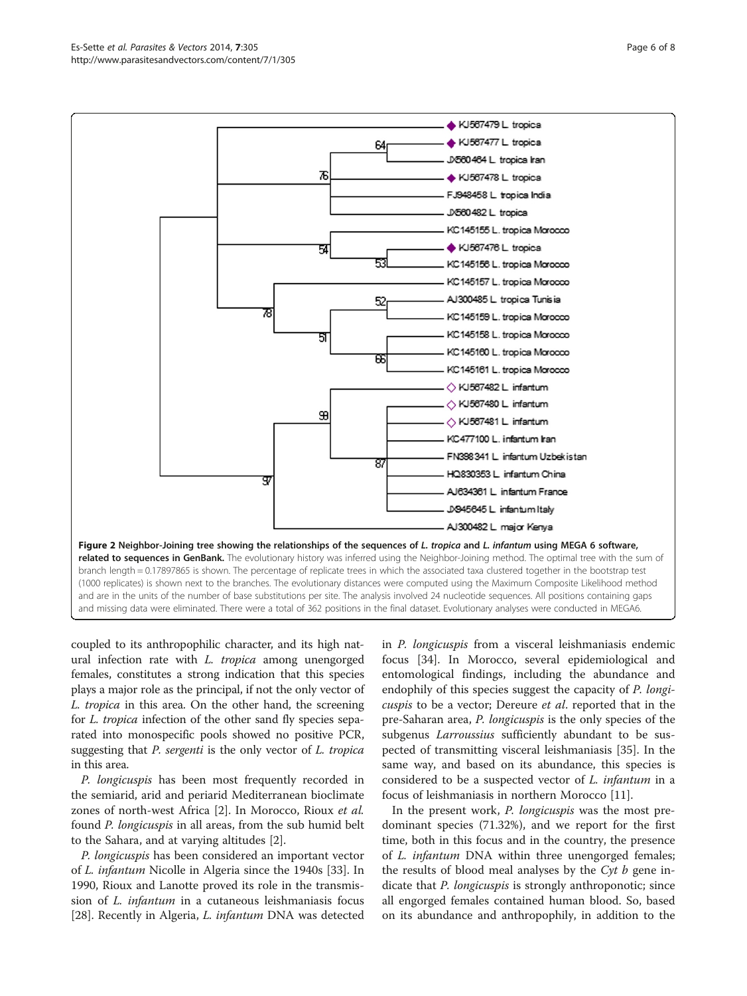coupled to its anthropophilic character, and its high natural infection rate with *L. tropica* among unengorged females, constitutes a strong indication that this species plays a major role as the principal, if not the only vector of L. tropica in this area. On the other hand, the screening for *L. tropica* infection of the other sand fly species separated into monospecific pools showed no positive PCR, suggesting that *P. sergenti* is the only vector of *L. tropica* in this area.

P. longicuspis has been most frequently recorded in the semiarid, arid and periarid Mediterranean bioclimate zones of north-west Africa [[2\]](#page-6-0). In Morocco, Rioux et al. found P. longicuspis in all areas, from the sub humid belt to the Sahara, and at varying altitudes [[2\]](#page-6-0).

P. longicuspis has been considered an important vector of L. infantum Nicolle in Algeria since the 1940s [[33](#page-7-0)]. In 1990, Rioux and Lanotte proved its role in the transmission of L. infantum in a cutaneous leishmaniasis focus [[28\]](#page-7-0). Recently in Algeria, L. infantum DNA was detected in P. longicuspis from a visceral leishmaniasis endemic focus [[34\]](#page-7-0). In Morocco, several epidemiological and entomological findings, including the abundance and endophily of this species suggest the capacity of *P. longi*cuspis to be a vector; Dereure *et al*. reported that in the pre-Saharan area, P. longicuspis is the only species of the subgenus *Larroussius* sufficiently abundant to be suspected of transmitting visceral leishmaniasis [[35\]](#page-7-0). In the same way, and based on its abundance, this species is considered to be a suspected vector of L. infantum in a focus of leishmaniasis in northern Morocco [[11\]](#page-7-0).

In the present work, P. longicuspis was the most predominant species (71.32%), and we report for the first time, both in this focus and in the country, the presence of *L. infantum* DNA within three unengorged females; the results of blood meal analyses by the  $Cyt b$  gene indicate that *P. longicuspis* is strongly anthroponotic; since all engorged females contained human blood. So, based on its abundance and anthropophily, in addition to the

<span id="page-5-0"></span>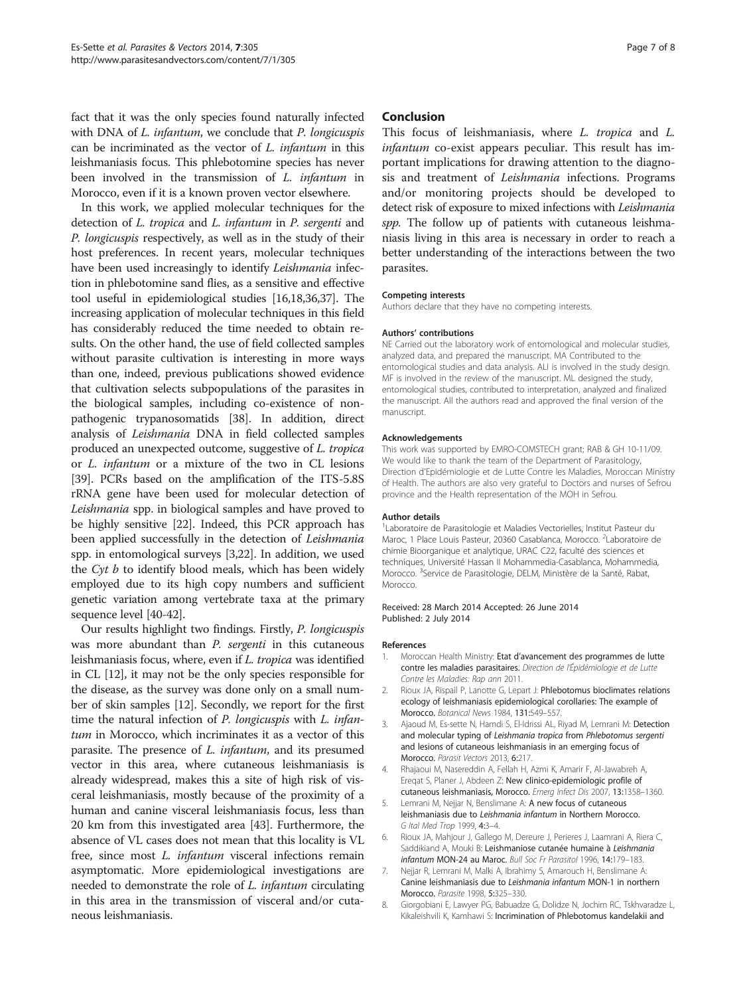<span id="page-6-0"></span>fact that it was the only species found naturally infected with DNA of *L. infantum*, we conclude that *P. longicuspis* can be incriminated as the vector of L. infantum in this leishmaniasis focus. This phlebotomine species has never been involved in the transmission of L. infantum in Morocco, even if it is a known proven vector elsewhere.

In this work, we applied molecular techniques for the detection of *L. tropica* and *L. infantum* in *P. sergenti* and P. longicuspis respectively, as well as in the study of their host preferences. In recent years, molecular techniques have been used increasingly to identify Leishmania infection in phlebotomine sand flies, as a sensitive and effective tool useful in epidemiological studies [\[16,18,36,37\]](#page-7-0). The increasing application of molecular techniques in this field has considerably reduced the time needed to obtain results. On the other hand, the use of field collected samples without parasite cultivation is interesting in more ways than one, indeed, previous publications showed evidence that cultivation selects subpopulations of the parasites in the biological samples, including co-existence of nonpathogenic trypanosomatids [[38](#page-7-0)]. In addition, direct analysis of Leishmania DNA in field collected samples produced an unexpected outcome, suggestive of L. tropica or L. infantum or a mixture of the two in CL lesions [[39](#page-7-0)]. PCRs based on the amplification of the ITS-5.8S rRNA gene have been used for molecular detection of Leishmania spp. in biological samples and have proved to be highly sensitive [[22](#page-7-0)]. Indeed, this PCR approach has been applied successfully in the detection of Leishmania spp. in entomological surveys [3,[22](#page-7-0)]. In addition, we used the  $Cyt b$  to identify blood meals, which has been widely employed due to its high copy numbers and sufficient genetic variation among vertebrate taxa at the primary sequence level [[40](#page-7-0)-[42](#page-7-0)].

Our results highlight two findings. Firstly, P. longicuspis was more abundant than *P. sergenti* in this cutaneous leishmaniasis focus, where, even if L. tropica was identified in CL [\[12\]](#page-7-0), it may not be the only species responsible for the disease, as the survey was done only on a small number of skin samples [\[12\]](#page-7-0). Secondly, we report for the first time the natural infection of P. longicuspis with L. infantum in Morocco, which incriminates it as a vector of this parasite. The presence of L. infantum, and its presumed vector in this area, where cutaneous leishmaniasis is already widespread, makes this a site of high risk of visceral leishmaniasis, mostly because of the proximity of a human and canine visceral leishmaniasis focus, less than 20 km from this investigated area [\[43](#page-7-0)]. Furthermore, the absence of VL cases does not mean that this locality is VL free, since most *L. infantum* visceral infections remain asymptomatic. More epidemiological investigations are needed to demonstrate the role of *L. infantum* circulating in this area in the transmission of visceral and/or cutaneous leishmaniasis.

#### Conclusion

This focus of leishmaniasis, where L. tropica and L. infantum co-exist appears peculiar. This result has important implications for drawing attention to the diagnosis and treatment of Leishmania infections. Programs and/or monitoring projects should be developed to detect risk of exposure to mixed infections with Leishmania spp. The follow up of patients with cutaneous leishmaniasis living in this area is necessary in order to reach a better understanding of the interactions between the two parasites.

#### Competing interests

Authors declare that they have no competing interests.

#### Authors' contributions

NE Carried out the laboratory work of entomological and molecular studies, analyzed data, and prepared the manuscript. MA Contributed to the entomological studies and data analysis. ALI is involved in the study design. MF is involved in the review of the manuscript. ML designed the study, entomological studies, contributed to interpretation, analyzed and finalized the manuscript. All the authors read and approved the final version of the manuscript.

#### Acknowledgements

This work was supported by EMRO-COMSTECH grant; RAB & GH 10-11/09. We would like to thank the team of the Department of Parasitology, Direction d'Epidémiologie et de Lutte Contre les Maladies, Moroccan Ministry of Health. The authors are also very grateful to Doctors and nurses of Sefrou province and the Health representation of the MOH in Sefrou.

#### Author details

<sup>1</sup> Laboratoire de Parasitologie et Maladies Vectorielles, Institut Pasteur du Maroc, 1 Place Louis Pasteur, 20360 Casablanca, Morocco. <sup>2</sup> Laboratoire de chimie Bioorganique et analytique, URAC C22, faculté des sciences et techniques, Université Hassan II Mohammedia-Casablanca, Mohammedia, Morocco. <sup>3</sup>Service de Parasitologie, DELM, Ministère de la Santé, Rabat Morocco.

Received: 28 March 2014 Accepted: 26 June 2014 Published: 2 July 2014

#### References

- 1. Moroccan Health Ministry: Etat d'avancement des programmes de lutte contre les maladies parasitaires. Direction de l'Épidémiologie et de Lutte Contre les Maladies: Rap ann 2011.
- 2. Rioux JA, Rispail P, Lanotte G, Lepart J: Phlebotomus bioclimates relations ecology of leishmaniasis epidemiological corollaries: The example of Morocco. Botanical News 1984, 131:549–557.
- 3. Ajaoud M, Es-sette N, Hamdi S, El-Idrissi AL, Riyad M, Lemrani M: Detection and molecular typing of Leishmania tropica from Phlebotomus sergenti and lesions of cutaneous leishmaniasis in an emerging focus of Morocco. Parasit Vectors 2013, 6:217.
- 4. Rhajaoui M, Nasereddin A, Fellah H, Azmi K, Amarir F, Al-Jawabreh A, Ereqat S, Planer J, Abdeen Z: New clinico-epidemiologic profile of cutaneous leishmaniasis, Morocco. Emerg Infect Dis 2007, 13:1358–1360.
- 5. Lemrani M, Nejjar N, Benslimane A: A new focus of cutaneous leishmaniasis due to Leishmania infantum in Northern Morocco. G Ital Med Trop 1999, 4:3–4.
- 6. Rioux JA, Mahjour J, Gallego M, Dereure J, Perieres J, Laamrani A, Riera C, Saddikiand A, Mouki B: Leishmaniose cutanée humaine à Leishmania infantum MON-24 au Maroc. Bull Soc Fr Parasitol 1996, 14:179–183.
- 7. Nejjar R, Lemrani M, Malki A, Ibrahimy S, Amarouch H, Benslimane A: Canine leishmaniasis due to Leishmania infantum MON-1 in northern Morocco. Parasite 1998, 5:325–330.
- 8. Giorgobiani E, Lawyer PG, Babuadze G, Dolidze N, Jochim RC, Tskhvaradze L, Kikaleishvili K, Kamhawi S: Incrimination of Phlebotomus kandelakii and